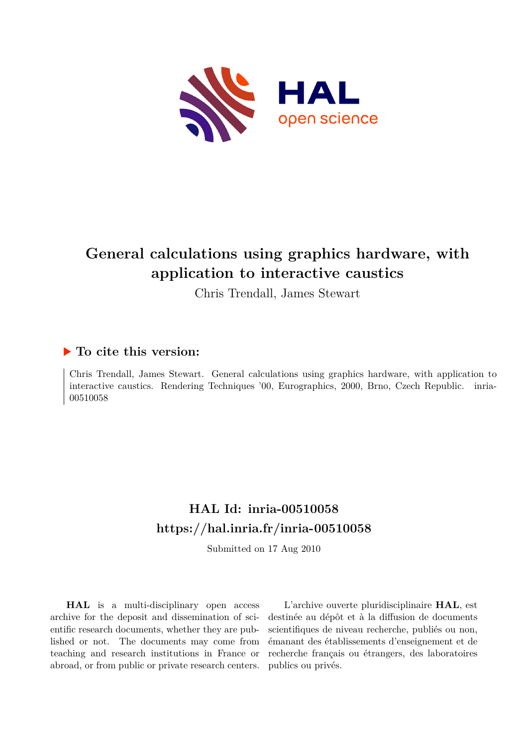

# **General calculations using graphics hardware, with application to interactive caustics**

Chris Trendall, James Stewart

# **To cite this version:**

Chris Trendall, James Stewart. General calculations using graphics hardware, with application to interactive caustics. Rendering Techniques '00, Eurographics, 2000, Brno, Czech Republic. inria-00510058

# **HAL Id: inria-00510058 <https://hal.inria.fr/inria-00510058>**

Submitted on 17 Aug 2010

**HAL** is a multi-disciplinary open access archive for the deposit and dissemination of scientific research documents, whether they are published or not. The documents may come from teaching and research institutions in France or abroad, or from public or private research centers.

L'archive ouverte pluridisciplinaire **HAL**, est destinée au dépôt et à la diffusion de documents scientifiques de niveau recherche, publiés ou non, émanant des établissements d'enseignement et de recherche français ou étrangers, des laboratoires publics ou privés.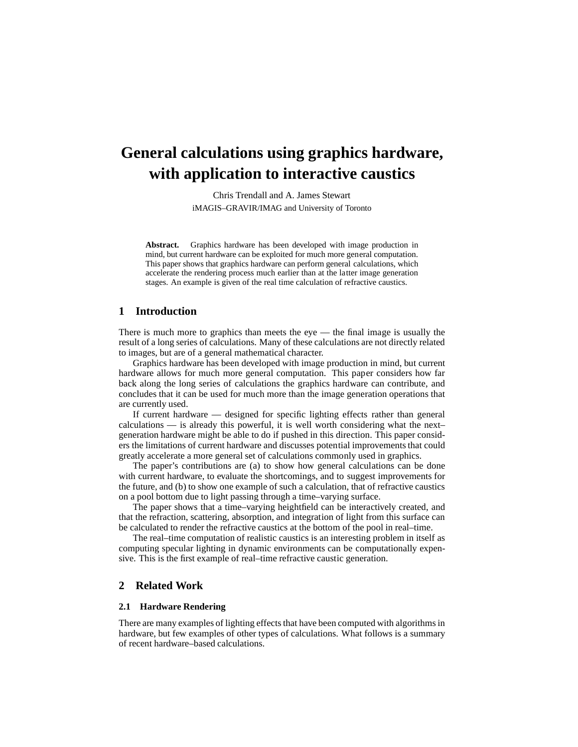# **General calculations using graphics hardware, with application to interactive caustics**

Chris Trendall and A. James Stewart iMAGIS–GRAVIR/IMAG and University of Toronto

**Abstract.** Graphics hardware has been developed with image production in mind, but current hardware can be exploited for much more general computation. This paper shows that graphics hardware can perform general calculations, which accelerate the rendering process much earlier than at the latter image generation stages. An example is given of the real time calculation of refractive caustics.

# **1 Introduction**

There is much more to graphics than meets the eye — the final image is usually the result of a long series of calculations. Many of these calculations are not directly related to images, but are of a general mathematical character.

Graphics hardware has been developed with image production in mind, but current hardware allows for much more general computation. This paper considers how far back along the long series of calculations the graphics hardware can contribute, and concludes that it can be used for much more than the image generation operations that are currently used.

If current hardware — designed for specific lighting effects rather than general calculations — is already this powerful, it is well worth considering what the next– generation hardware might be able to do if pushed in this direction. This paper considers the limitations of current hardware and discusses potential improvements that could greatly accelerate a more general set of calculations commonly used in graphics.

The paper's contributions are (a) to show how general calculations can be done with current hardware, to evaluate the shortcomings, and to suggest improvements for the future, and (b) to show one example of such a calculation, that of refractive caustics on a pool bottom due to light passing through a time–varying surface.

The paper shows that a time–varying heightfield can be interactively created, and that the refraction, scattering, absorption, and integration of light from this surface can be calculated to render the refractive caustics at the bottom of the pool in real–time.

The real–time computation of realistic caustics is an interesting problem in itself as computing specular lighting in dynamic environments can be computationally expensive. This is the first example of real–time refractive caustic generation.

# **2 Related Work**

#### **2.1 Hardware Rendering**

There are many examples of lighting effects that have been computed with algorithms in hardware, but few examples of other types of calculations. What follows is a summary of recent hardware–based calculations.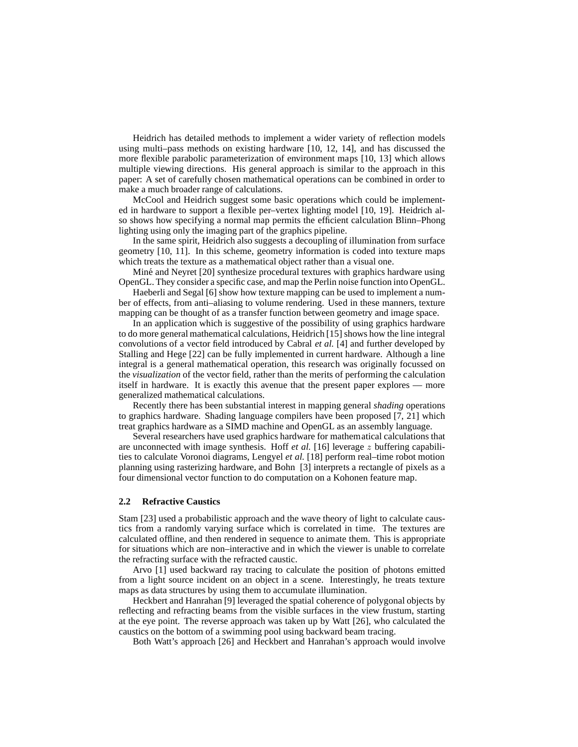Heidrich has detailed methods to implement a wider variety of reflection models using multi–pass methods on existing hardware [10, 12, 14], and has discussed the more flexible parabolic parameterization of environment maps [10, 13] which allows multiple viewing directions. His general approach is similar to the approach in this paper: A set of carefully chosen mathematical operations can be combined in order to make a much broader range of calculations.

McCool and Heidrich suggest some basic operations which could be implemented in hardware to support a flexible per–vertex lighting model [10, 19]. Heidrich also shows how specifying a normal map permits the efficient calculation Blinn–Phong lighting using only the imaging part of the graphics pipeline.

In the same spirit, Heidrich also suggests a decoupling of illumination from surface geometry [10, 11]. In this scheme, geometry information is coded into texture maps which treats the texture as a mathematical object rather than a visual one.

Miné and Neyret [20] synthesize procedural textures with graphics hardware using OpenGL. They consider a specific case, and map the Perlin noise function into OpenGL.

Haeberli and Segal [6] show how texture mapping can be used to implement a number of effects, from anti–aliasing to volume rendering. Used in these manners, texture mapping can be thought of as a transfer function between geometry and image space.

In an application which is suggestive of the possibility of using graphics hardware to do more general mathematical calculations, Heidrich [15] shows how the line integral convolutions of a vector field introduced by Cabral *et al.* [4] and further developed by Stalling and Hege [22] can be fully implemented in current hardware. Although a line integral is a general mathematical operation, this research was originally focussed on the *visualization* of the vector field, rather than the merits of performing the calculation itself in hardware. It is exactly this avenue that the present paper explores — more generalized mathematical calculations.

Recently there has been substantial interest in mapping general *shading* operations to graphics hardware. Shading language compilers have been proposed [7, 21] which treat graphics hardware as a SIMD machine and OpenGL as an assembly language.

Several researchers have used graphics hardware for mathematical calculations that are unconnected with image synthesis. Hoff *et al.* [16] leverage <sup>z</sup> buffering capabilities to calculate Voronoi diagrams, Lengyel *et al.* [18] perform real–time robot motion planning using rasterizing hardware, and Bohn [3] interprets a rectangle of pixels as a four dimensional vector function to do computation on a Kohonen feature map.

#### **2.2 Refractive Caustics**

Stam [23] used a probabilistic approach and the wave theory of light to calculate caustics from a randomly varying surface which is correlated in time. The textures are calculated offline, and then rendered in sequence to animate them. This is appropriate for situations which are non–interactive and in which the viewer is unable to correlate the refracting surface with the refracted caustic.

Arvo [1] used backward ray tracing to calculate the position of photons emitted from a light source incident on an object in a scene. Interestingly, he treats texture maps as data structures by using them to accumulate illumination.

Heckbert and Hanrahan [9] leveraged the spatial coherence of polygonal objects by reflecting and refracting beams from the visible surfaces in the view frustum, starting at the eye point. The reverse approach was taken up by Watt [26], who calculated the caustics on the bottom of a swimming pool using backward beam tracing.

Both Watt's approach [26] and Heckbert and Hanrahan's approach would involve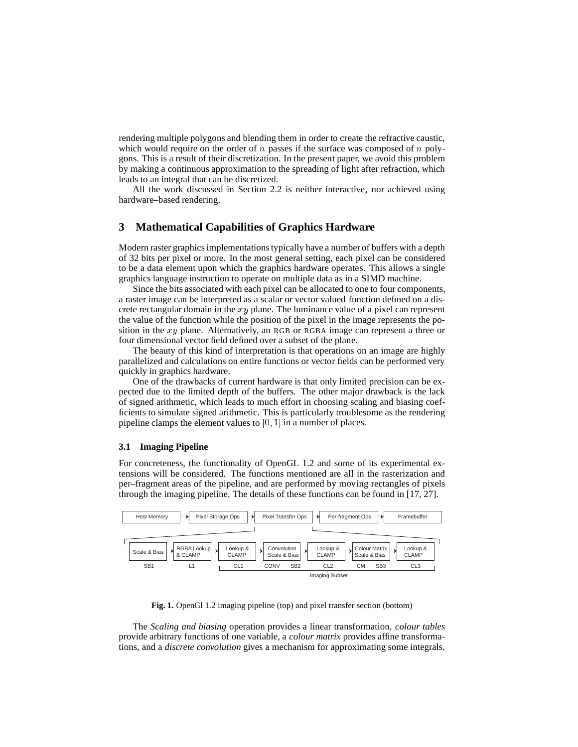rendering multiple polygons and blending them in order to create the refractive caustic, which would require on the order of  $n$  passes if the surface was composed of  $n$  polygons. This is a result of their discretization. In the present paper, we avoid this problem by making a continuous approximation to the spreading of light after refraction, which leads to an integral that can be discretized.

All the work discussed in Section 2.2 is neither interactive, nor achieved using hardware–based rendering.

### **3 Mathematical Capabilities of Graphics Hardware**

Modern raster graphics implementations typically have a number of buffers with a depth of 32 bits per pixel or more. In the most general setting, each pixel can be considered to be a data element upon which the graphics hardware operates. This allows a single graphics language instruction to operate on multiple data as in a SIMD machine.

Since the bits associated with each pixel can be allocated to one to four components, a raster image can be interpreted as a scalar or vector valued function defined on a discrete rectangular domain in the  $xy$  plane. The luminance value of a pixel can represent the value of the function while the position of the pixel in the image represents the position in the xy plane. Alternatively, an RGB or RGBA image can represent a three or four dimensional vector field defined over a subset of the plane.

The beauty of this kind of interpretation is that operations on an image are highly parallelized and calculations on entire functions or vector fields can be performed very quickly in graphics hardware.

One of the drawbacks of current hardware is that only limited precision can be expected due to the limited depth of the buffers. The other major drawback is the lack of signed arithmetic, which leads to much effort in choosing scaling and biasing coefficients to simulate signed arithmetic. This is particularly troublesome as the rendering pipeline clamps the element values to  $[0, 1]$  in a number of places.

### **3.1 Imaging Pipeline**

For concreteness, the functionality of OpenGL 1.2 and some of its experimental extensions will be considered. The functions mentioned are all in the rasterization and per–fragment areas of the pipeline, and are performed by moving rectangles of pixels through the imaging pipeline. The details of these functions can be found in [17, 27].



**Fig. 1.** OpenGl 1.2 imaging pipeline (top) and pixel transfer section (bottom)

The *Scaling and biasing* operation provides a linear transformation, *colour tables* provide arbitrary functions of one variable, a *colour matrix* provides affine transformations, and a *discrete convolution* gives a mechanism for approximating some integrals.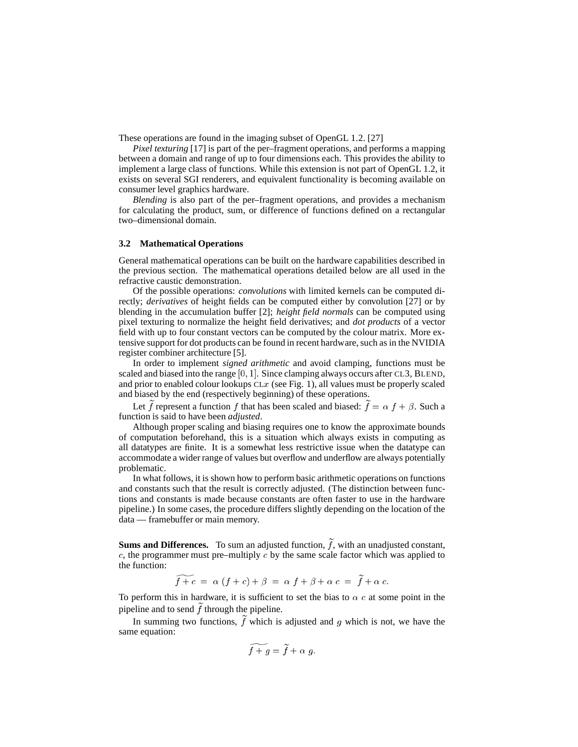These operations are found in the imaging subset of OpenGL 1.2. [27]

*Pixel texturing* [17] is part of the per–fragment operations, and performs a mapping between a domain and range of up to four dimensions each. This provides the ability to implement a large class of functions. While this extension is not part of OpenGL 1.2, it exists on several SGI renderers, and equivalent functionality is becoming available on consumer level graphics hardware.

*Blending* is also part of the per–fragment operations, and provides a mechanism for calculating the product, sum, or difference of functions defined on a rectangular two–dimensional domain.

#### **3.2 Mathematical Operations**

General mathematical operations can be built on the hardware capabilities described in the previous section. The mathematical operations detailed below are all used in the refractive caustic demonstration.

Of the possible operations: *convolutions* with limited kernels can be computed directly; *derivatives* of height fields can be computed either by convolution [27] or by blending in the accumulation buffer [2]; *height field normals* can be computed using pixel texturing to normalize the height field derivatives; and *dot products* of a vector field with up to four constant vectors can be computed by the colour matrix. More extensive support for dot products can be found in recent hardware, such as in the NVIDIA register combiner architecture [5].

In order to implement *signed arithmetic* and avoid clamping, functions must be scaled and biased into the range  $[0, 1]$ . Since clamping always occurs after CL3, BLEND, and prior to enabled colour lookups  $CLx$  (see Fig. 1), all values must be properly scaled and biased by the end (respectively beginning) of these operations.

Let f represent a function f that has been scaled and biased:  $f = \alpha f + \beta$ . Such a function is said to have been *adjusted*.

Although proper scaling and biasing requires one to know the approximate bounds of computation beforehand, this is a situation which always exists in computing as all datatypes are finite. It is a somewhat less restrictive issue when the datatype can accommodate a wider range of values but overflow and underflow are always potentially problematic.

In what follows, it is shown how to perform basic arithmetic operations on functions and constants such that the result is correctly adjusted. (The distinction between functions and constants is made because constants are often faster to use in the hardware pipeline.) In some cases, the procedure differs slightly depending on the location of the data — framebuffer or main memory.

**Sums and Differences.** To sum an adjusted function,  $\tilde{f}$ , with an unadjusted constant,  $c$ , the programmer must pre–multiply  $c$  by the same scale factor which was applied to the function:

$$
\widetilde{f+c} = \alpha (f+c) + \beta = \alpha f + \beta + \alpha c = \widetilde{f} + \alpha c.
$$

To perform this in hardware, it is sufficient to set the bias to  $\alpha$  c at some point in the pipeline and to send  $\tilde{f}$  through the pipeline.

In summing two functions,  $\hat{f}$  which is adjusted and g which is not, we have the same equation:

$$
\widetilde{f+g} = \widetilde{f} + \alpha g.
$$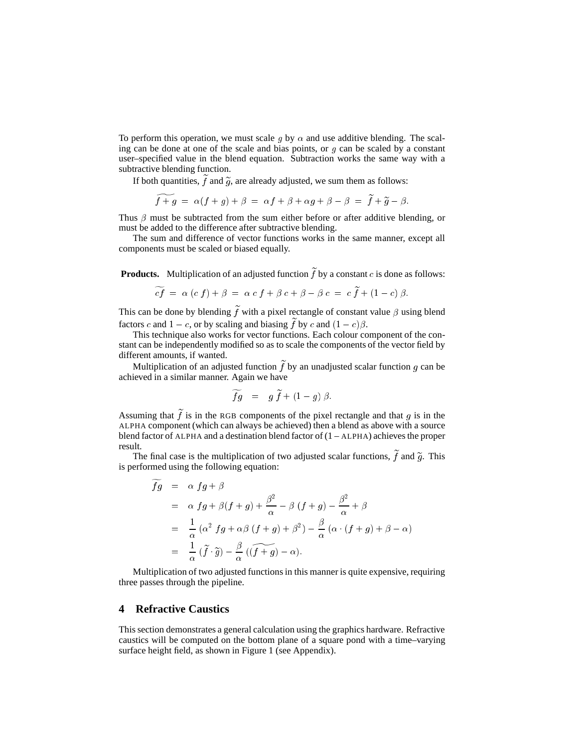To perform this operation, we must scale g by  $\alpha$  and use additive blending. The scaling can be done at one of the scale and bias points, or  $g$  can be scaled by a constant user–specified value in the blend equation. Subtraction works the same way with a subtractive blending function.

If both quantities,  $\tilde{f}$  and  $\tilde{g}$ , are already adjusted, we sum them as follows:

$$
\widetilde{f+g} = \alpha(f+g) + \beta = \alpha f + \beta + \alpha g + \beta - \beta = \widetilde{f} + \widetilde{g} - \beta.
$$

Thus  $\beta$  must be subtracted from the sum either before or after additive blending, or must be added to the difference after subtractive blending.

The sum and difference of vector functions works in the same manner, except all components must be scaled or biased equally.

**Products.** Multiplication of an adjusted function  $\tilde{f}$  by a constant c is done as follows:

$$
cf = \alpha (cf) + \beta = \alpha cf + \beta c + \beta - \beta c = cf + (1 - c)\beta.
$$

This can be done by blending  $\tilde{f}$  with a pixel rectangle of constant value  $\beta$  using blend factors c and  $1 - c$ , or by scaling and biasing  $\tilde{f}$  by c and  $(1 - c)\beta$ .

This technique also works for vector functions. Each colour component of the constant can be independently modified so as to scale the components of the vector field by different amounts, if wanted.

Multiplication of an adjusted function  $\tilde{f}$  by an unadjusted scalar function g can be achieved in a similar manner. Again we have

$$
\widetilde{fg} = g \widetilde{f} + (1-g) \beta.
$$

Assuming that  $\tilde{f}$  is in the RGB components of the pixel rectangle and that g is in the ALPHA component (which can always be achieved) then a blend as above with a source blend factor of ALPHA and a destination blend factor of (1 – ALPHA) achieves the proper result.

The final case is the multiplication of two adjusted scalar functions,  $\tilde{f}$  and  $\tilde{g}$ . This is performed using the following equation:

$$
fg = \alpha fg + \beta
$$
  
=  $\alpha fg + \beta (f + g) + \frac{\beta^2}{\alpha} - \beta (f + g) - \frac{\beta^2}{\alpha} + \beta$   
=  $\frac{1}{\alpha} (\alpha^2 fg + \alpha \beta (f + g) + \beta^2) - \frac{\beta}{\alpha} (\alpha \cdot (f + g) + \beta - \alpha)$   
=  $\frac{1}{\alpha} (\tilde{f} \cdot \tilde{g}) - \frac{\beta}{\alpha} ((\tilde{f} + g) - \alpha).$ 

Multiplication of two adjusted functions in this manner is quite expensive, requiring three passes through the pipeline.

#### **4 Refractive Caustics**

This section demonstrates a general calculation using the graphics hardware. Refractive caustics will be computed on the bottom plane of a square pond with a time–varying surface height field, as shown in Figure 1 (see Appendix).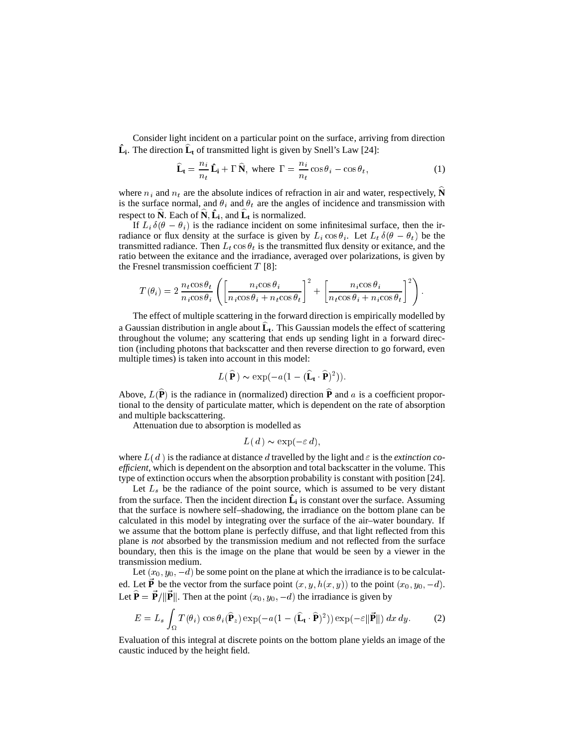Consider light incident on a particular point on the surface, arriving from direction  $\hat{\mathbf{L}}_i$ . The direction  $\hat{\mathbf{L}}_t$  of transmitted light is given by Snell's Law [24]:

$$
\widehat{\mathbf{L}}_{t} = \frac{n_{i}}{n_{t}} \widehat{\mathbf{L}}_{i} + \Gamma \widehat{\mathbf{N}}, \text{ where } \Gamma = \frac{n_{i}}{n_{t}} \cos \theta_{i} - \cos \theta_{t}, \qquad (1)
$$

where  $n_i$  and  $n_t$  are the absolute indices of refraction in air and water, respectively,  $\hat{N}$ is the surface normal, and  $\theta_i$  and  $\theta_t$  are the angles of incidence and transmission with respect to  $\widehat{N}$ . Each of  $\widehat{N}$ ,  $\widehat{L}_i$ , and  $\widehat{L}_t$  is normalized.

If  $L_i \delta(\theta - \theta_i)$  is the radiance incident on some infinitesimal surface, then the irradiance or flux density at the surface is given by  $L_i \cos \theta_i$ . Let  $L_t \delta(\theta - \theta_t)$  be the transmitted radiance. Then  $L_t \cos \theta_t$  is the transmitted flux density or exitance, and the ratio between the exitance and the irradiance, averaged over polarizations, is given by the Fresnel transmission coefficient  $T$  [8]:

$$
T(\theta_i) = 2 \frac{n_t \cos \theta_t}{n_i \cos \theta_i} \left( \left[ \frac{n_i \cos \theta_i}{n_i \cos \theta_i + n_t \cos \theta_t} \right]^2 + \left[ \frac{n_i \cos \theta_i}{n_t \cos \theta_i + n_i \cos \theta_t} \right]^2 \right)
$$

The effect of multiple scattering in the forward direction is empirically modelled by a Gaussian distribution in angle about  $L_t$ . This Gaussian models the effect of scattering throughout the volume; any scattering that ends up sending light in a forward direction (including photons that backscatter and then reverse direction to go forward, even multiple times) is taken into account in this model:

$$
L(\widehat{\mathbf{P}}) \sim \exp(-a(1-(\widehat{\mathbf{L}}_{t} \cdot \widehat{\mathbf{P}})^{2})).
$$

Above,  $L(\hat{\mathbf{P}})$  is the radiance in (normalized) direction  $\hat{\mathbf{P}}$  and a is a coefficient proportional to the density of particulate matter, which is dependent on the rate of absorption and multiple backscattering.

Attenuation due to absorption is modelled as

$$
L(d) \sim \exp(-\varepsilon d),
$$

where  $L(d)$  is the radiance at distance d travelled by the light and  $\varepsilon$  is the *extinction coefficient*, which is dependent on the absorption and total backscatter in the volume. This type of extinction occurs when the absorption probability is constant with position [24].

Let  $L<sub>s</sub>$  be the radiance of the point source, which is assumed to be very distant from the surface. Then the incident direction  $\hat{\mathbf{L}}_i$  is constant over the surface. Assuming that the surface is nowhere self–shadowing, the irradiance on the bottom plane can be calculated in this model by integrating over the surface of the air–water boundary. If we assume that the bottom plane is perfectly diffuse, and that light reflected from this plane is *not* absorbed by the transmission medium and not reflected from the surface boundary, then this is the image on the plane that would be seen by a viewer in the transmission medium.

Let  $(x_0, y_0, -d)$  be some point on the plane at which the irradiance is to be calculated. Let  $\vec{P}$  be the vector from the surface point  $(x, y, h(x, y))$  to the point  $(x_0, y_0, -d)$ . Let  $\hat{\mathbf{P}} = \vec{\mathbf{P}}/||\vec{\mathbf{P}}||$ . Then at the point  $(x_0, y_0, -d)$  the irradiance is given by

$$
E = L_s \int_{\Omega} T(\theta_i) \cos \theta_i(\hat{\mathbf{P}}_z) \exp(-a(1 - (\hat{\mathbf{L}}_t \cdot \hat{\mathbf{P}})^2)) \exp(-\varepsilon ||\vec{\mathbf{P}}||) dx dy.
$$
 (2)

Evaluation of this integral at discrete points on the bottom plane yields an image of the caustic induced by the height field.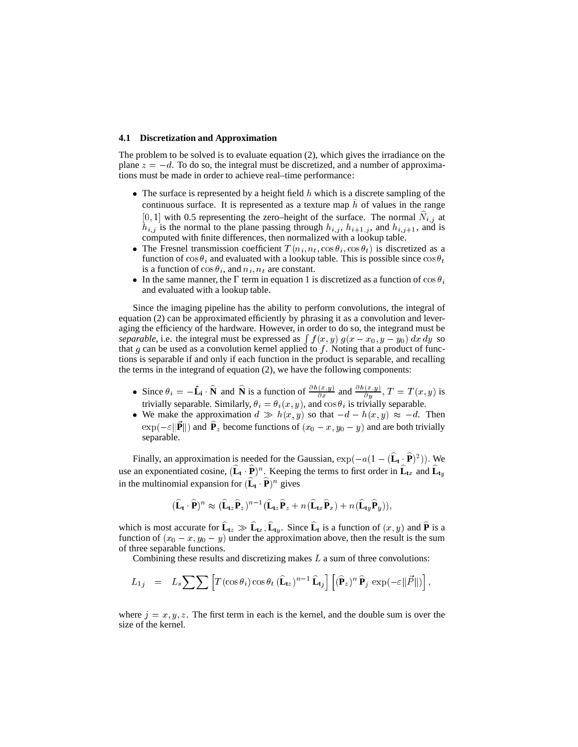#### **4.1 Discretization and Approximation**

The problem to be solved is to evaluate equation (2), which gives the irradiance on the plane  $z = -d$ . To do so, the integral must be discretized, and a number of approximations must be made in order to achieve real–time performance:

- $\bullet$  The surface is represented by a height field h which is a discrete sampling of the continuous surface. It is represented as a texture map  $h$  of values in the range [0, 1] with 0.5 representing the zero–height of the surface. The normal  $N_{i,j}$  at  $h_{i,j}$  is the normal to the plane passing through  $h_{i,j}$ ,  $h_{i+1,j}$ , and  $h_{i,j+1}$ , and is computed with finite differences, then normalized with a lookup table.
- The Fresnel transmission coefficient  $T(n_i, n_t, \cos \theta_i, \cos \theta_t)$  is discretized as a function of  $\cos \theta_i$  and evaluated with a lookup table. This is possible since  $\cos \theta_t$ is a function of  $\cos \theta_i$ , and  $n_i, n_t$  are constant.
- In the same manner, the  $\Gamma$  term in equation 1 is discretized as a function of  $\cos\theta_i$ and evaluated with a lookup table.

Since the imaging pipeline has the ability to perform convolutions, the integral of equation (2) can be approximated efficiently by phrasing it as a convolution and leveraging the efficiency of the hardware. However, in order to do so, the integrand must be *separable*, i.e. the integral must be expressed as  $\int f(x, y) g(x - x_0, y - y_0) dx dy$  so that  $g$  can be used as a convolution kernel applied to  $f$ . Noting that a product of functions is separable if and only if each function in the product is separable, and recalling the terms in the integrand of equation (2), we have the following components:

- Since  $\theta_i = -\hat{\mathbf{L}}_i \cdot \hat{\mathbf{N}}$  and  $\hat{\mathbf{N}}$  is a function of  $\frac{\partial h(x,y)}{\partial x}$  and  $\frac{\partial h(x,y)}{\partial y}$ ,  $T = T(x, y)$  is trivially separable. Similarly,  $\theta_i = \theta_i(x, y)$ , and  $\cos \theta_i$  is trivially separable.
- We make the approximation  $d \gg h(x, y)$  so that  $-d h(x, y) \approx -d$ . Then  $\exp(-\varepsilon \|\mathbf{P}\|)$  and  $\mathbf{P}_z$  become functions of  $(x_0 - x, y_0 - y)$  and are both trivially separable.

Finally, an approximation is needed for the Gaussian,  $\exp(-a(1 - (\mathbf{L_t} \cdot \mathbf{P})^2))$ . We use an exponentiated cosine,  $(L_t \cdot P)^n$ . Keeping the terms to first order in  $L_{tx}$  and  $L_{ty}$ in the multinomial expansion for  $(L_t \cdot P)^n$  gives

$$
(\widehat{\mathbf{L}}_{t} \cdot \widehat{\mathbf{P}})^{n} \approx (\widehat{\mathbf{L}}_{tz} \widehat{\mathbf{P}}_{z})^{n-1} (\widehat{\mathbf{L}}_{tz} \widehat{\mathbf{P}}_{z} + n(\widehat{\mathbf{L}}_{tx} \widehat{\mathbf{P}}_{x}) + n(\widehat{\mathbf{L}}_{ty} \widehat{\mathbf{P}}_{y})),
$$

which is most accurate for  $\mathbf{L}_{tz} \gg \mathbf{L}_{tx}$ ,  $\mathbf{L}_{ty}$ . Since  $\mathbf{L}_t$  is a function of  $(x, y)$  and **P** is a function of  $(x_0 - x, y_0 - y)$  under the approximation above, then the result is the sum of three separable functions.

Combining these results and discretizing makes  $L$  a sum of three convolutions:

$$
L_{1j} = L_s \sum \sum \left[ T(\cos \theta_i) \cos \theta_t \left( \widehat{\mathbf{L}}_{tz} \right)^{n-1} \widehat{\mathbf{L}}_{tj} \right] \left[ \left( \widehat{\mathbf{P}}_z \right)^n \widehat{\mathbf{P}}_j \exp(-\varepsilon ||\vec{P}||) \right],
$$

where  $j = x, y, z$ . The first term in each is the kernel, and the double sum is over the size of the kernel.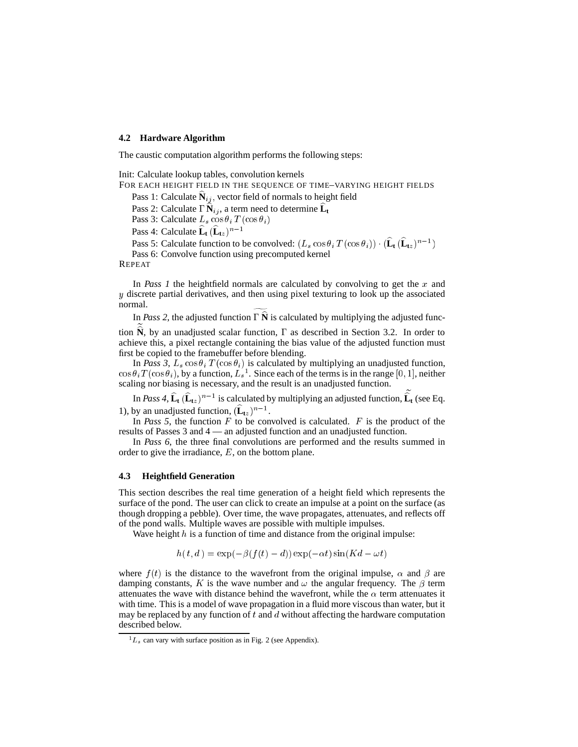#### **4.2 Hardware Algorithm**

The caustic computation algorithm performs the following steps:

Init: Calculate lookup tables, convolution kernels

FOR EACH HEIGHT FIELD IN THE SEQUENCE OF TIME–VARYING HEIGHT FIELDS

Pass 1: Calculate  $N_{ij}$ , vector field of normals to height field

Pass 2: Calculate  $\Gamma \mathbf{N}_{ij}$ , a term need to determine  $\mathbf{L}_{t}$ <br>Pass 3: Calculate  $L_{s} \cos \theta_{i} T(\cos \theta_{i})$ 

Pass 4: Calculate  $\mathbf{L}_t (\mathbf{L}_{tz})^{n-1}$ 

Pass 5: Calculate function to be convolved:  $(L_s \cos \theta_i T(\cos \theta_i)) \cdot (\mathbf{L_t} (\mathbf{L_t}_z)^{n-1})$ 

Pass 6: Convolve function using precomputed kernel

REPEAT

In *Pass 1* the heightfield normals are calculated by convolving to get the x and  $y$  discrete partial derivatives, and then using pixel texturing to look up the associated normal.

In *Pass 2*, the adjusted function  $\Gamma \hat{\mathbf{N}}$  is calculated by multiplying the adjusted func-

tion N, by an unadjusted scalar function,  $\Gamma$  as described in Section 3.2. In order to achieve this, a pixel rectangle containing the bias value of the adjusted function must first be copied to the framebuffer before blending.

In *Pass 3*,  $L_s \cos \theta_i T(\cos \theta_i)$  is calculated by multiplying an unadjusted function,  $\cos \theta_i T(\cos \theta_i)$ , by a function,  $L_s^{-1}$ . Since each of the terms is in the range [0, 1], neither scaling nor biasing is necessary, and the result is an unadjusted function.

In Pass 4,  $\mathbf{L}_t$  ( $\mathbf{L}_{tz}$ )<sup>n-1</sup> is calculated by multiplying an adjusted function,  $\mathbf{L}_t$  (see Eq. 1), by an unadjusted function,  $(L_{tz})^{n-1}$ .

In *Pass 5*, the function  $F$  to be convolved is calculated.  $F$  is the product of the results of Passes 3 and 4 — an adjusted function and an unadjusted function.

In *Pass 6*, the three final convolutions are performed and the results summed in order to give the irradiance, <sup>E</sup>, on the bottom plane.

#### **4.3 Heightfield Generation**

This section describes the real time generation of a height field which represents the surface of the pond. The user can click to create an impulse at a point on the surface (as though dropping a pebble). Over time, the wave propagates, attenuates, and reflects off of the pond walls. Multiple waves are possible with multiple impulses.

Wave height  $h$  is a function of time and distance from the original impulse:

$$
h(t, d) = \exp(-\beta(f(t) - d)) \exp(-\alpha t) \sin(Kd - \omega t)
$$

where  $f(t)$  is the distance to the wavefront from the original impulse,  $\alpha$  and  $\beta$  are damping constants, K is the wave number and  $\omega$  the angular frequency. The  $\beta$  term attenuates the wave with distance behind the wavefront, while the  $\alpha$  term attenuates it with time. This is a model of wave propagation in a fluid more viscous than water, but it may be replaced by any function of  $t$  and  $d$  without affecting the hardware computation described below.

 ${}^{1}L_{s}$  can vary with surface position as in Fig. 2 (see Appendix).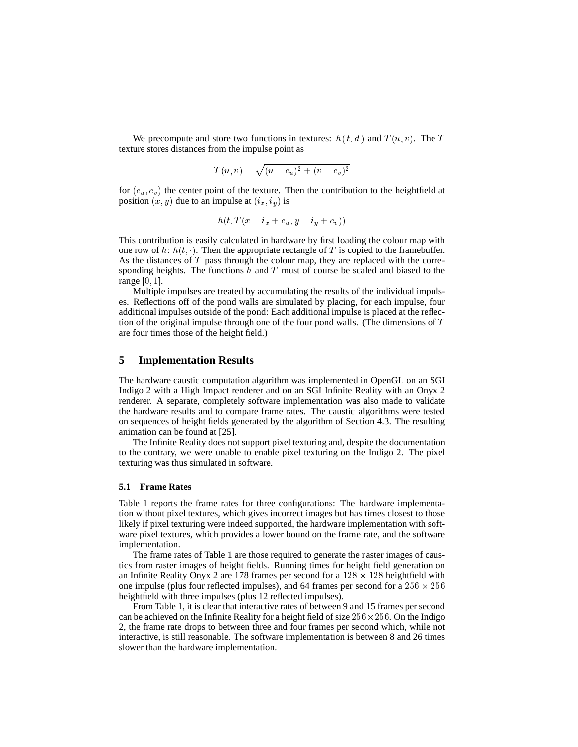We precompute and store two functions in textures:  $h(t, d)$  and  $T(u, v)$ . The T texture stores distances from the impulse point as

$$
T(u, v) = \sqrt{(u - c_u)^2 + (v - c_v)^2}
$$

for  $(c_u, c_v)$  the center point of the texture. Then the contribution to the heightfield at position  $(x, y)$  due to an impulse at  $(i_x, i_y)$  is

$$
h(t, T(x-i_x+c_u, y-i_y+c_v))
$$

This contribution is easily calculated in hardware by first loading the colour map with one row of h:  $h(t, \cdot)$ . Then the appropriate rectangle of T is copied to the framebuffer. As the distances of  $T$  pass through the colour map, they are replaced with the corresponding heights. The functions  $h$  and  $T$  must of course be scaled and biased to the range  $[0, 1]$ .

Multiple impulses are treated by accumulating the results of the individual impulses. Reflections off of the pond walls are simulated by placing, for each impulse, four additional impulses outside of the pond: Each additional impulse is placed at the reflection of the original impulse through one of the four pond walls. (The dimensions of <sup>T</sup> are four times those of the height field.)

# **5 Implementation Results**

The hardware caustic computation algorithm was implemented in OpenGL on an SGI Indigo 2 with a High Impact renderer and on an SGI Infinite Reality with an Onyx 2 renderer. A separate, completely software implementation was also made to validate the hardware results and to compare frame rates. The caustic algorithms were tested on sequences of height fields generated by the algorithm of Section 4.3. The resulting animation can be found at [25].

The Infinite Reality does not support pixel texturing and, despite the documentation to the contrary, we were unable to enable pixel texturing on the Indigo 2. The pixel texturing was thus simulated in software.

#### **5.1 Frame Rates**

Table 1 reports the frame rates for three configurations: The hardware implementation without pixel textures, which gives incorrect images but has times closest to those likely if pixel texturing were indeed supported, the hardware implementation with software pixel textures, which provides a lower bound on the frame rate, and the software implementation.

The frame rates of Table 1 are those required to generate the raster images of caustics from raster images of height fields. Running times for height field generation on an Infinite Reality Onyx 2 are 178 frames per second for a  $128 \times 128$  heightfield with one impulse (plus four reflected impulses), and 64 frames per second for a  $256 \times 256$ heightfield with three impulses (plus 12 reflected impulses).

From Table 1, it is clear that interactive rates of between 9 and 15 frames per second can be achieved on the Infinite Reality for a height field of size  $256 \times 256$ . On the Indigo 2, the frame rate drops to between three and four frames per second which, while not interactive, is still reasonable. The software implementation is between 8 and 26 times slower than the hardware implementation.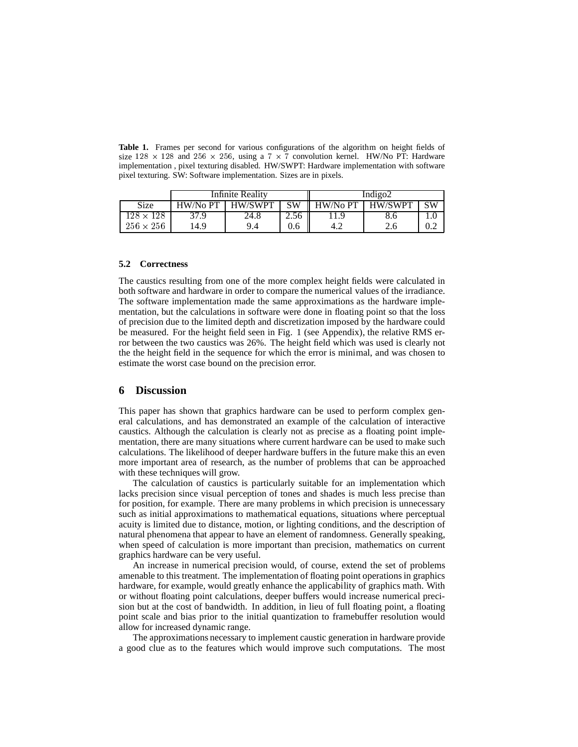**Table 1.** Frames per second for various configurations of the algorithm on height fields of size  $128 \times 128$  and  $256 \times 256$ , using a  $7 \times 7$  convolution kernel. HW/No PT: Hardware implementation , pixel texturing disabled. HW/SWPT: Hardware implementation with software pixel texturing. SW: Software implementation. Sizes are in pixels.

|                  | Infinite Reality |                |      | Indigo2    |                |    |
|------------------|------------------|----------------|------|------------|----------------|----|
| Size             | HW/No PT         | <b>HW/SWPT</b> | SW   | $HW/N0$ PT | <b>HW/SWPT</b> | SW |
| $128\times128$   | 37.9             | 24.8           | 2.56 |            |                |    |
| $256 \times 256$ | 14.9             | 9.4            | 0.6  | 4.2        |                |    |

#### **5.2 Correctness**

The caustics resulting from one of the more complex height fields were calculated in both software and hardware in order to compare the numerical values of the irradiance. The software implementation made the same approximations as the hardware implementation, but the calculations in software were done in floating point so that the loss of precision due to the limited depth and discretization imposed by the hardware could be measured. For the height field seen in Fig. 1 (see Appendix), the relative RMS error between the two caustics was 26%. The height field which was used is clearly not the the height field in the sequence for which the error is minimal, and was chosen to estimate the worst case bound on the precision error.

#### **6 Discussion**

This paper has shown that graphics hardware can be used to perform complex general calculations, and has demonstrated an example of the calculation of interactive caustics. Although the calculation is clearly not as precise as a floating point implementation, there are many situations where current hardware can be used to make such calculations. The likelihood of deeper hardware buffers in the future make this an even more important area of research, as the number of problems that can be approached with these techniques will grow.

The calculation of caustics is particularly suitable for an implementation which lacks precision since visual perception of tones and shades is much less precise than for position, for example. There are many problems in which precision is unnecessary such as initial approximations to mathematical equations, situations where perceptual acuity is limited due to distance, motion, or lighting conditions, and the description of natural phenomena that appear to have an element of randomness. Generally speaking, when speed of calculation is more important than precision, mathematics on current graphics hardware can be very useful.

An increase in numerical precision would, of course, extend the set of problems amenable to this treatment. The implementation of floating point operations in graphics hardware, for example, would greatly enhance the applicability of graphics math. With or without floating point calculations, deeper buffers would increase numerical precision but at the cost of bandwidth. In addition, in lieu of full floating point, a floating point scale and bias prior to the initial quantization to framebuffer resolution would allow for increased dynamic range.

The approximations necessary to implement caustic generation in hardware provide a good clue as to the features which would improve such computations. The most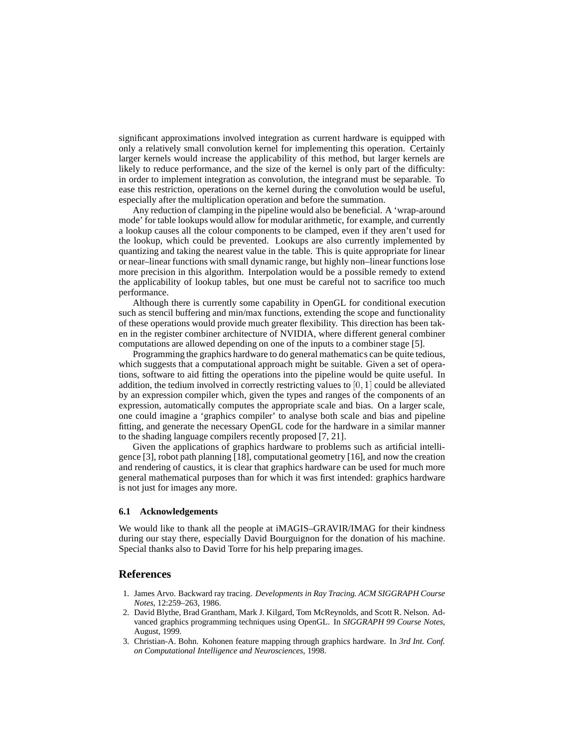significant approximations involved integration as current hardware is equipped with only a relatively small convolution kernel for implementing this operation. Certainly larger kernels would increase the applicability of this method, but larger kernels are likely to reduce performance, and the size of the kernel is only part of the difficulty: in order to implement integration as convolution, the integrand must be separable. To ease this restriction, operations on the kernel during the convolution would be useful, especially after the multiplication operation and before the summation.

Any reduction of clamping in the pipeline would also be beneficial. A 'wrap-around mode' for table lookups would allow for modular arithmetic, for example, and currently a lookup causes all the colour components to be clamped, even if they aren't used for the lookup, which could be prevented. Lookups are also currently implemented by quantizing and taking the nearest value in the table. This is quite appropriate for linear or near–linear functions with small dynamic range, but highly non–linear functions lose more precision in this algorithm. Interpolation would be a possible remedy to extend the applicability of lookup tables, but one must be careful not to sacrifice too much performance.

Although there is currently some capability in OpenGL for conditional execution such as stencil buffering and min/max functions, extending the scope and functionality of these operations would provide much greater flexibility. This direction has been taken in the register combiner architecture of NVIDIA, where different general combiner computations are allowed depending on one of the inputs to a combiner stage [5].

Programming the graphics hardware to do general mathematics can be quite tedious, which suggests that a computational approach might be suitable. Given a set of operations, software to aid fitting the operations into the pipeline would be quite useful. In addition, the tedium involved in correctly restricting values to  $[0, 1]$  could be alleviated by an expression compiler which, given the types and ranges of the components of an expression, automatically computes the appropriate scale and bias. On a larger scale, one could imagine a 'graphics compiler' to analyse both scale and bias and pipeline fitting, and generate the necessary OpenGL code for the hardware in a similar manner to the shading language compilers recently proposed [7, 21].

Given the applications of graphics hardware to problems such as artificial intelligence [3], robot path planning [18], computational geometry [16], and now the creation and rendering of caustics, it is clear that graphics hardware can be used for much more general mathematical purposes than for which it was first intended: graphics hardware is not just for images any more.

#### **6.1 Acknowledgements**

We would like to thank all the people at iMAGIS–GRAVIR/IMAG for their kindness during our stay there, especially David Bourguignon for the donation of his machine. Special thanks also to David Torre for his help preparing images.

### **References**

- 1. James Arvo. Backward ray tracing. *Developments in Ray Tracing. ACM SIGGRAPH Course Notes*, 12:259–263, 1986.
- 2. David Blythe, Brad Grantham, Mark J. Kilgard, Tom McReynolds, and Scott R. Nelson. Advanced graphics programming techniques using OpenGL. In *SIGGRAPH 99 Course Notes*, August, 1999.
- 3. Christian-A. Bohn. Kohonen feature mapping through graphics hardware. In *3rd Int. Conf. on Computational Intelligence and Neurosciences*, 1998.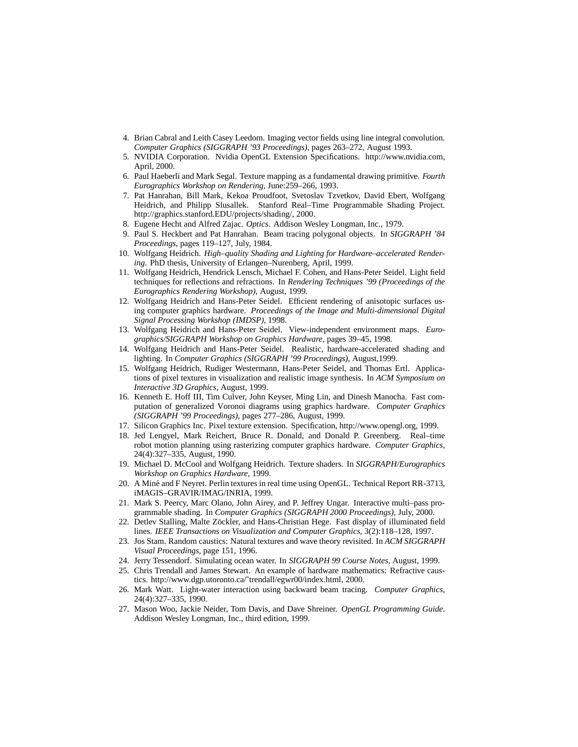- 4. Brian Cabral and Leith Casey Leedom. Imaging vector fields using line integral convolution. *Computer Graphics (SIGGRAPH '93 Proceedings)*, pages 263–272, August 1993.
- 5. NVIDIA Corporation. Nvidia OpenGL Extension Specifications. http://www.nvidia.com, April, 2000.
- 6. Paul Haeberli and Mark Segal. Texture mapping as a fundamental drawing primitive. *Fourth Eurographics Workshop on Rendering*, June:259–266, 1993.
- 7. Pat Hanrahan, Bill Mark, Kekoa Proudfoot, Svetoslav Tzvetkov, David Ebert, Wolfgang Heidrich, and Philipp Slusallek. Stanford Real–Time Programmable Shading Project. http://graphics.stanford.EDU/projects/shading/, 2000.
- 8. Eugene Hecht and Alfred Zajac. *Optics*. Addison Wesley Longman, Inc., 1979.
- 9. Paul S. Heckbert and Pat Hanrahan. Beam tracing polygonal objects. In *SIGGRAPH '84 Proceedings*, pages 119–127, July, 1984.
- 10. Wolfgang Heidrich. *High–quality Shading and Lighting for Hardware–accelerated Rendering*. PhD thesis, University of Erlangen–Nurenberg, April, 1999.
- 11. Wolfgang Heidrich, Hendrick Lensch, Michael F. Cohen, and Hans-Peter Seidel. Light field techniques for reflections and refractions. In *Rendering Techniques '99 (Proceedings of the Eurographics Rendering Workshop)*, August, 1999.
- 12. Wolfgang Heidrich and Hans-Peter Seidel. Efficient rendering of anisotopic surfaces using computer graphics hardware. *Proceedings of the Image and Multi-dimensional Digital Signal Processing Workshop (IMDSP)*, 1998.
- 13. Wolfgang Heidrich and Hans-Peter Seidel. View-independent environment maps. *Eurographics/SIGGRAPH Workshop on Graphics Hardware*, pages 39–45, 1998.
- 14. Wolfgang Heidrich and Hans-Peter Seidel. Realistic, hardware-accelerated shading and lighting. In *Computer Graphics (SIGGRAPH '99 Proceedings)*, August,1999.
- 15. Wolfgang Heidrich, Rudiger Westermann, Hans-Peter Seidel, and Thomas Ertl. Applications of pixel textures in visualization and realistic image synthesis. In *ACM Symposium on Interactive 3D Graphics*, August, 1999.
- 16. Kenneth E. Hoff III, Tim Culver, John Keyser, Ming Lin, and Dinesh Manocha. Fast computation of generalized Voronoi diagrams using graphics hardware. *Computer Graphics (SIGGRAPH '99 Proceedings)*, pages 277–286, August, 1999.
- 17. Silicon Graphics Inc. Pixel texture extension. Specification, http://www.opengl.org, 1999.
- 18. Jed Lengyel, Mark Reichert, Bruce R. Donald, and Donald P. Greenberg. Real–time robot motion planning using rasterizing computer graphics hardware. *Computer Graphics*, 24(4):327–335, August, 1990.
- 19. Michael D. McCool and Wolfgang Heidrich. Texture shaders. In *SIGGRAPH/Eurographics Workshop on Graphics Hardware*, 1999.
- 20. A Miné and F Neyret. Perlin textures in real time using OpenGL. Technical Report RR-3713, iMAGIS–GRAVIR/IMAG/INRIA, 1999.
- 21. Mark S. Peercy, Marc Olano, John Airey, and P. Jeffrey Ungar. Interactive multi–pass programmable shading. In *Computer Graphics (SIGGRAPH 2000 Proceedings)*, July, 2000.
- 22. Detlev Stalling, Malte Zöckler, and Hans-Christian Hege. Fast display of illuminated field lines. *IEEE Transactions on Visualization and Computer Graphics*, 3(2):118–128, 1997.
- 23. Jos Stam. Random caustics: Natural textures and wave theory revisited. In *ACM SIGGRAPH Visual Proceedings*, page 151, 1996.
- 24. Jerry Tessendorf. Simulating ocean water. In *SIGGRAPH 99 Course Notes*, August, 1999.
- 25. Chris Trendall and James Stewart. An example of hardware mathematics: Refractive caustics. http://www.dgp.utoronto.ca/˜trendall/egwr00/index.html, 2000.
- 26. Mark Watt. Light-water interaction using backward beam tracing. *Computer Graphics*, 24(4):327–335, 1990.
- 27. Mason Woo, Jackie Neider, Tom Davis, and Dave Shreiner. *OpenGL Programming Guide*. Addison Wesley Longman, Inc., third edition, 1999.